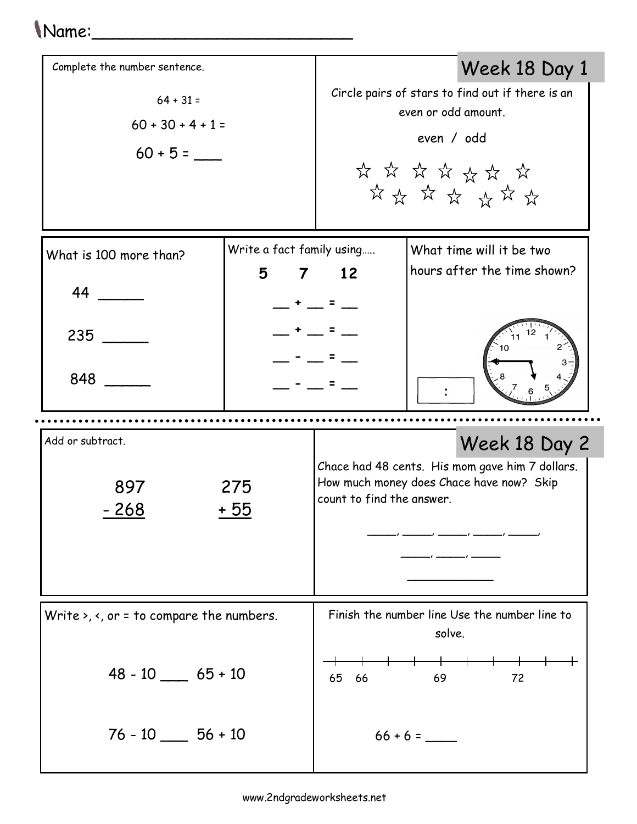## Name:\_\_\_\_\_\_\_\_\_\_\_\_\_\_\_\_\_\_\_\_\_\_\_\_\_

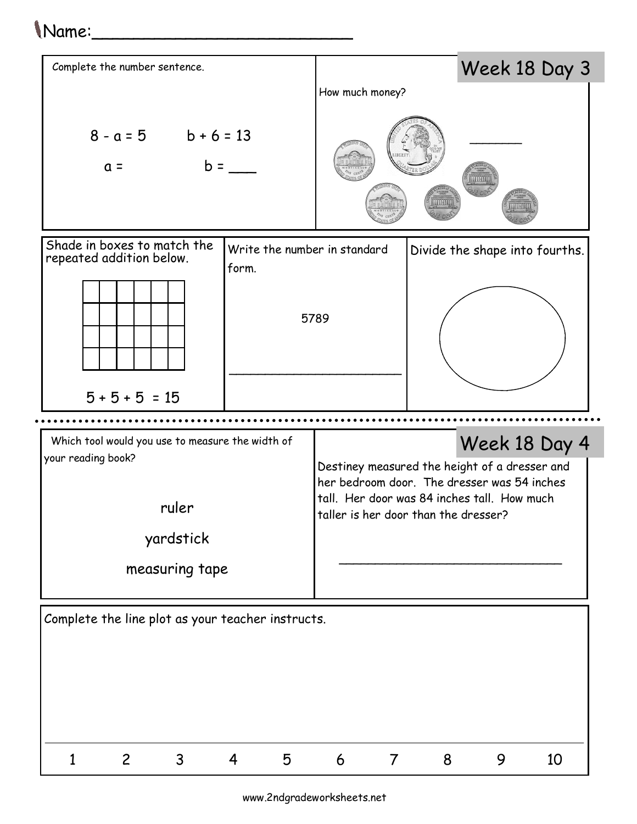## Name:\_\_\_\_\_\_\_\_\_\_\_\_\_\_\_\_\_\_\_\_\_\_\_\_\_



www.2ndgradeworksheets.net